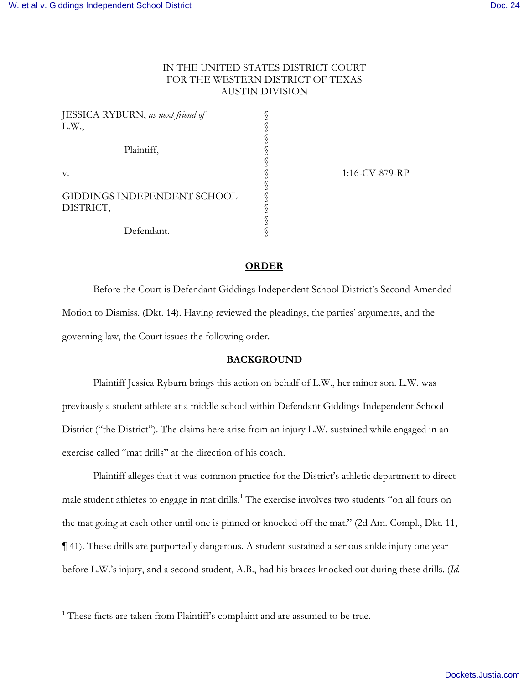# IN THE UNITED STATES DISTRICT COURT FOR THE WESTERN DISTRICT OF TEXAS AUSTIN DIVISION

| JESSICA RYBURN, as next friend of |                |
|-----------------------------------|----------------|
| L.W.,                             |                |
|                                   |                |
| Plaintiff,                        |                |
|                                   |                |
| V.                                | 1:16-CV-879-RP |
|                                   |                |
| GIDDINGS INDEPENDENT SCHOOL       |                |
| DISTRICT,                         |                |
|                                   |                |
| Defendant.                        |                |

### **ORDER**

Before the Court is Defendant Giddings Independent School District's Second Amended Motion to Dismiss. (Dkt. 14). Having reviewed the pleadings, the parties' arguments, and the governing law, the Court issues the following order.

### **BACKGROUND**

 Plaintiff Jessica Ryburn brings this action on behalf of L.W., her minor son. L.W. was previously a student athlete at a middle school within Defendant Giddings Independent School District ("the District"). The claims here arise from an injury L.W. sustained while engaged in an exercise called "mat drills" at the direction of his coach.

Plaintiff alleges that it was common practice for the District's athletic department to direct male student athletes to engage in mat drills.<sup>[1](#page-0-0)</sup> The exercise involves two students "on all fours on the mat going at each other until one is pinned or knocked off the mat." (2d Am. Compl., Dkt. 11, ¶ 41). These drills are purportedly dangerous. A student sustained a serious ankle injury one year before L.W.'s injury, and a second student, A.B., had his braces knocked out during these drills. (*Id.* 

-

<span id="page-0-0"></span><sup>&</sup>lt;sup>1</sup> These facts are taken from Plaintiff's complaint and are assumed to be true.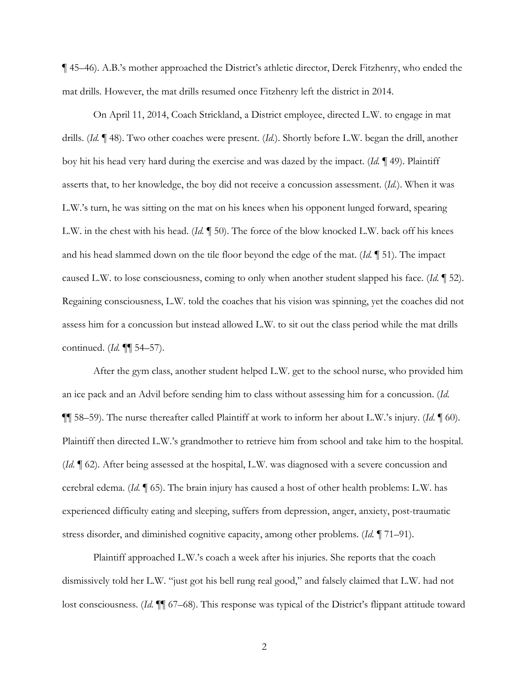¶ 45–46). A.B.'s mother approached the District's athletic director, Derek Fitzhenry, who ended the mat drills. However, the mat drills resumed once Fitzhenry left the district in 2014.

On April 11, 2014, Coach Strickland, a District employee, directed L.W. to engage in mat drills. (*Id.* ¶ 48). Two other coaches were present. (*Id.*). Shortly before L.W. began the drill, another boy hit his head very hard during the exercise and was dazed by the impact. (*Id.* ¶ 49). Plaintiff asserts that, to her knowledge, the boy did not receive a concussion assessment. (*Id.*). When it was L.W.'s turn, he was sitting on the mat on his knees when his opponent lunged forward, spearing L.W. in the chest with his head. (*Id.* ¶ 50). The force of the blow knocked L.W. back off his knees and his head slammed down on the tile floor beyond the edge of the mat. (*Id.* ¶ 51). The impact caused L.W. to lose consciousness, coming to only when another student slapped his face. (*Id.* ¶ 52). Regaining consciousness, L.W. told the coaches that his vision was spinning, yet the coaches did not assess him for a concussion but instead allowed L.W. to sit out the class period while the mat drills continued. (*Id.* ¶¶ 54–57).

After the gym class, another student helped L.W. get to the school nurse, who provided him an ice pack and an Advil before sending him to class without assessing him for a concussion. (*Id.*  ¶¶ 58–59). The nurse thereafter called Plaintiff at work to inform her about L.W.'s injury. (*Id.* ¶ 60). Plaintiff then directed L.W.'s grandmother to retrieve him from school and take him to the hospital. (*Id.* ¶ 62). After being assessed at the hospital, L.W. was diagnosed with a severe concussion and cerebral edema. (*Id.* ¶ 65). The brain injury has caused a host of other health problems: L.W. has experienced difficulty eating and sleeping, suffers from depression, anger, anxiety, post-traumatic stress disorder, and diminished cognitive capacity, among other problems. (*Id.* ¶ 71–91).

Plaintiff approached L.W.'s coach a week after his injuries. She reports that the coach dismissively told her L.W. "just got his bell rung real good," and falsely claimed that L.W. had not lost consciousness. (*Id.*  $\P$  67–68). This response was typical of the District's flippant attitude toward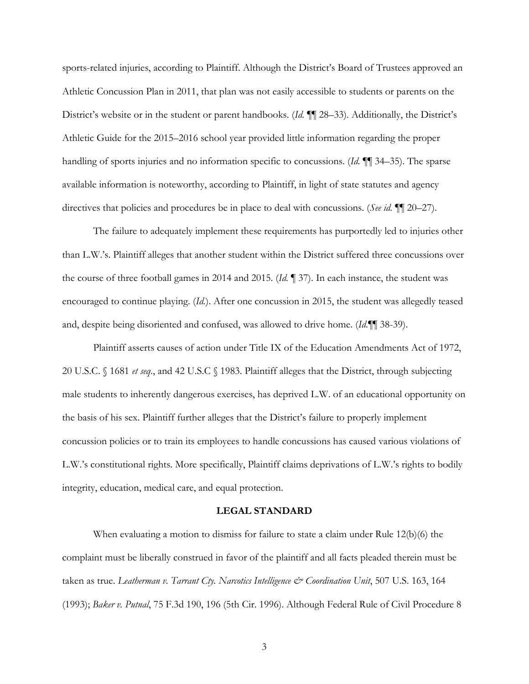sports-related injuries, according to Plaintiff. Although the District's Board of Trustees approved an Athletic Concussion Plan in 2011, that plan was not easily accessible to students or parents on the District's website or in the student or parent handbooks. (*Id.* ¶¶ 28–33). Additionally, the District's Athletic Guide for the 2015–2016 school year provided little information regarding the proper handling of sports injuries and no information specific to concussions. (*Id.* ¶¶ 34–35). The sparse available information is noteworthy, according to Plaintiff, in light of state statutes and agency directives that policies and procedures be in place to deal with concussions. (*See id.* ¶¶ 20–27).

The failure to adequately implement these requirements has purportedly led to injuries other than L.W.'s. Plaintiff alleges that another student within the District suffered three concussions over the course of three football games in 2014 and 2015. (*Id.* ¶ 37). In each instance, the student was encouraged to continue playing. (*Id.*). After one concussion in 2015, the student was allegedly teased and, despite being disoriented and confused, was allowed to drive home. (*Id.*¶¶ 38-39).

Plaintiff asserts causes of action under Title IX of the Education Amendments Act of 1972, 20 U.S.C. § 1681 *et seq.*, and 42 U.S.C § 1983. Plaintiff alleges that the District, through subjecting male students to inherently dangerous exercises, has deprived L.W. of an educational opportunity on the basis of his sex. Plaintiff further alleges that the District's failure to properly implement concussion policies or to train its employees to handle concussions has caused various violations of L.W.'s constitutional rights. More specifically, Plaintiff claims deprivations of L.W.'s rights to bodily integrity, education, medical care, and equal protection.

### **LEGAL STANDARD**

When evaluating a motion to dismiss for failure to state a claim under Rule 12(b)(6) the complaint must be liberally construed in favor of the plaintiff and all facts pleaded therein must be taken as true. *Leatherman v. Tarrant Cty. Narcotics Intelligence & Coordination Unit*, 507 U.S. 163, 164 (1993); *Baker v. Putnal*, 75 F.3d 190, 196 (5th Cir. 1996). Although Federal Rule of Civil Procedure 8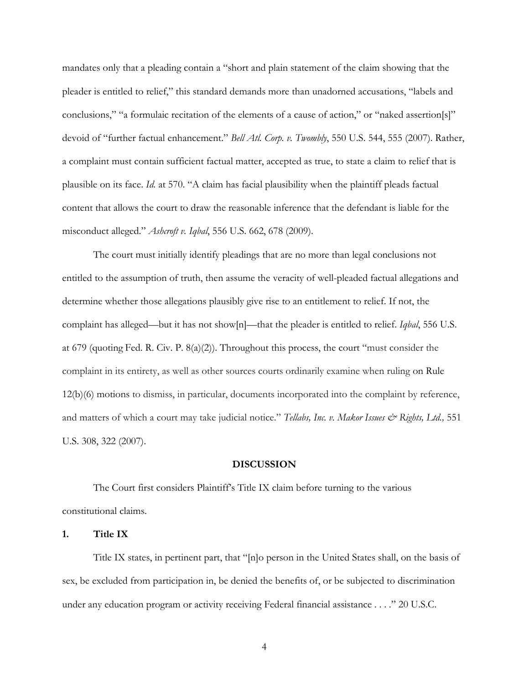mandates only that a pleading contain a "short and plain statement of the claim showing that the pleader is entitled to relief," this standard demands more than unadorned accusations, "labels and conclusions," "a formulaic recitation of the elements of a cause of action," or "naked assertion[s]" devoid of "further factual enhancement." *Bell Atl. Corp. v. Twombly*, 550 U.S. 544, 555 (2007). Rather, a complaint must contain sufficient factual matter, accepted as true, to state a claim to relief that is plausible on its face. *Id.* at 570. "A claim has facial plausibility when the plaintiff pleads factual content that allows the court to draw the reasonable inference that the defendant is liable for the misconduct alleged." *Ashcroft v. Iqbal*, 556 U.S. 662, 678 (2009).

 The court must initially identify pleadings that are no more than legal conclusions not entitled to the assumption of truth, then assume the veracity of well-pleaded factual allegations and determine whether those allegations plausibly give rise to an entitlement to relief. If not, the complaint has alleged—but it has not show[n]—that the pleader is entitled to relief. *Iqbal*, 556 U.S. at 679 (quoting Fed. R. Civ. P. 8(a)(2)). Throughout this process, the court "must consider the complaint in its entirety, as well as other sources courts ordinarily examine when ruling on Rule 12(b)(6) motions to dismiss, in particular, documents incorporated into the complaint by reference, and matters of which a court may take judicial notice." *Tellabs, Inc. v. Makor Issues & Rights, Ltd.*, 551 U.S. 308, 322 (2007).

#### **DISCUSSION**

 The Court first considers Plaintiff's Title IX claim before turning to the various constitutional claims.

# **1. Title IX**

Title IX states, in pertinent part, that "[n]o person in the United States shall, on the basis of sex, be excluded from participation in, be denied the benefits of, or be subjected to discrimination under any education program or activity receiving Federal financial assistance . . . ." 20 U.S.C.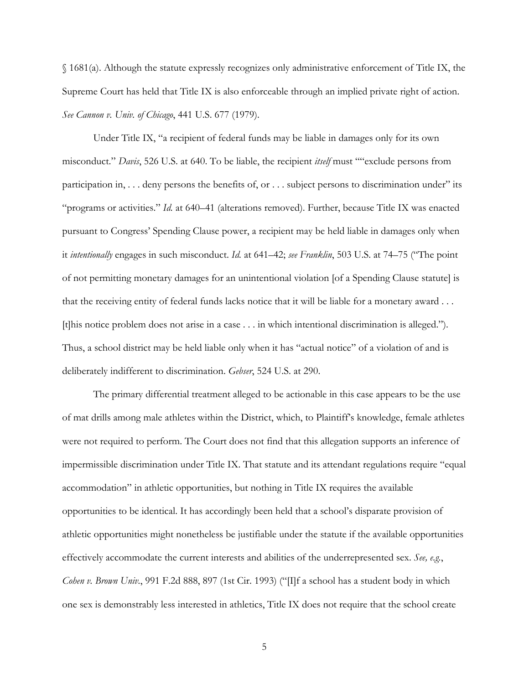§ 1681(a). Although the statute expressly recognizes only administrative enforcement of Title IX, the Supreme Court has held that Title IX is also enforceable through an implied private right of action. *See Cannon v. Univ. of Chicago*, 441 U.S. 677 (1979).

 Under Title IX, "a recipient of federal funds may be liable in damages only for its own misconduct." *Davis*, 526 U.S. at 640. To be liable, the recipient *itself* must ""exclude persons from participation in, . . . deny persons the benefits of, or . . . subject persons to discrimination under" its "programs or activities." *Id.* at 640–41 (alterations removed). Further, because Title IX was enacted pursuant to Congress' Spending Clause power, a recipient may be held liable in damages only when it *intentionally* engages in such misconduct. *Id.* at 641–42; *see Franklin*, 503 U.S. at 74–75 ("The point of not permitting monetary damages for an unintentional violation [of a Spending Clause statute] is that the receiving entity of federal funds lacks notice that it will be liable for a monetary award . . . [t]his notice problem does not arise in a case . . . in which intentional discrimination is alleged."). Thus, a school district may be held liable only when it has "actual notice" of a violation of and is deliberately indifferent to discrimination. *Gebser*, 524 U.S. at 290.

The primary differential treatment alleged to be actionable in this case appears to be the use of mat drills among male athletes within the District, which, to Plaintiff's knowledge, female athletes were not required to perform. The Court does not find that this allegation supports an inference of impermissible discrimination under Title IX. That statute and its attendant regulations require "equal accommodation" in athletic opportunities, but nothing in Title IX requires the available opportunities to be identical. It has accordingly been held that a school's disparate provision of athletic opportunities might nonetheless be justifiable under the statute if the available opportunities effectively accommodate the current interests and abilities of the underrepresented sex. *See, e.g.*, *Cohen v. Brown Univ.*, 991 F.2d 888, 897 (1st Cir. 1993) ("[I]f a school has a student body in which one sex is demonstrably less interested in athletics, Title IX does not require that the school create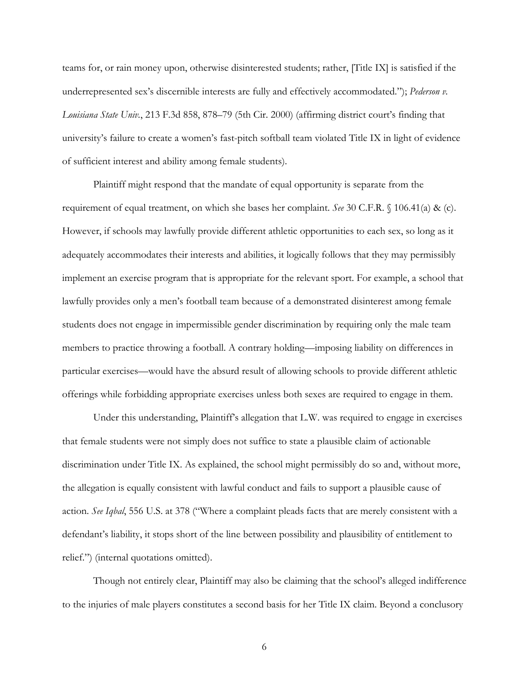teams for, or rain money upon, otherwise disinterested students; rather, [Title IX] is satisfied if the underrepresented sex's discernible interests are fully and effectively accommodated."); *Pederson v. Louisiana State Univ.*, 213 F.3d 858, 878–79 (5th Cir. 2000) (affirming district court's finding that university's failure to create a women's fast-pitch softball team violated Title IX in light of evidence of sufficient interest and ability among female students).

 Plaintiff might respond that the mandate of equal opportunity is separate from the requirement of equal treatment, on which she bases her complaint. *See* 30 C.F.R. § 106.41(a) & (c). However, if schools may lawfully provide different athletic opportunities to each sex, so long as it adequately accommodates their interests and abilities, it logically follows that they may permissibly implement an exercise program that is appropriate for the relevant sport. For example, a school that lawfully provides only a men's football team because of a demonstrated disinterest among female students does not engage in impermissible gender discrimination by requiring only the male team members to practice throwing a football. A contrary holding—imposing liability on differences in particular exercises—would have the absurd result of allowing schools to provide different athletic offerings while forbidding appropriate exercises unless both sexes are required to engage in them.

 Under this understanding, Plaintiff's allegation that L.W. was required to engage in exercises that female students were not simply does not suffice to state a plausible claim of actionable discrimination under Title IX. As explained, the school might permissibly do so and, without more, the allegation is equally consistent with lawful conduct and fails to support a plausible cause of action. *See Iqbal*, 556 U.S. at 378 ("Where a complaint pleads facts that are merely consistent with a defendant's liability, it stops short of the line between possibility and plausibility of entitlement to relief.") (internal quotations omitted).

Though not entirely clear, Plaintiff may also be claiming that the school's alleged indifference to the injuries of male players constitutes a second basis for her Title IX claim. Beyond a conclusory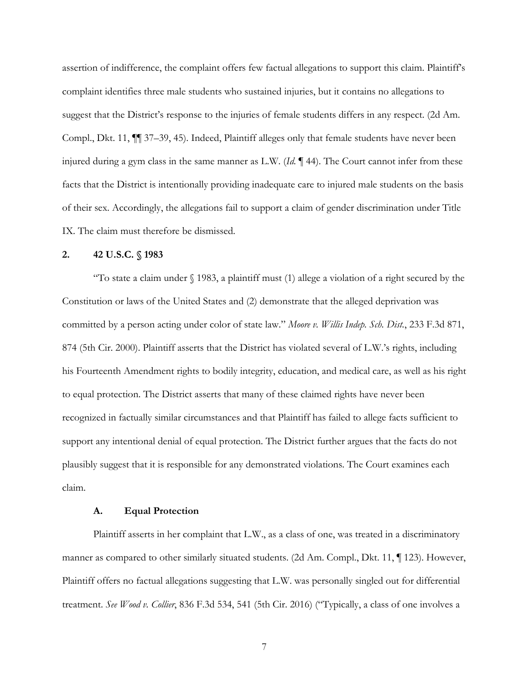assertion of indifference, the complaint offers few factual allegations to support this claim. Plaintiff's complaint identifies three male students who sustained injuries, but it contains no allegations to suggest that the District's response to the injuries of female students differs in any respect. (2d Am. Compl., Dkt. 11, ¶¶ 37–39, 45). Indeed, Plaintiff alleges only that female students have never been injured during a gym class in the same manner as L.W. (*Id.* ¶ 44). The Court cannot infer from these facts that the District is intentionally providing inadequate care to injured male students on the basis of their sex. Accordingly, the allegations fail to support a claim of gender discrimination under Title IX. The claim must therefore be dismissed.

## **2. 42 U.S.C. § 1983**

"To state a claim under  $\S$  1983, a plaintiff must (1) allege a violation of a right secured by the Constitution or laws of the United States and (2) demonstrate that the alleged deprivation was committed by a person acting under color of state law." *Moore v. Willis Indep. Sch. Dist.*, 233 F.3d 871, 874 (5th Cir. 2000). Plaintiff asserts that the District has violated several of L.W.'s rights, including his Fourteenth Amendment rights to bodily integrity, education, and medical care, as well as his right to equal protection. The District asserts that many of these claimed rights have never been recognized in factually similar circumstances and that Plaintiff has failed to allege facts sufficient to support any intentional denial of equal protection. The District further argues that the facts do not plausibly suggest that it is responsible for any demonstrated violations. The Court examines each claim.

#### **A. Equal Protection**

 Plaintiff asserts in her complaint that L.W., as a class of one, was treated in a discriminatory manner as compared to other similarly situated students. (2d Am. Compl., Dkt. 11, ¶ 123). However, Plaintiff offers no factual allegations suggesting that L.W. was personally singled out for differential treatment. *See Wood v. Collier*, 836 F.3d 534, 541 (5th Cir. 2016) ("Typically, a class of one involves a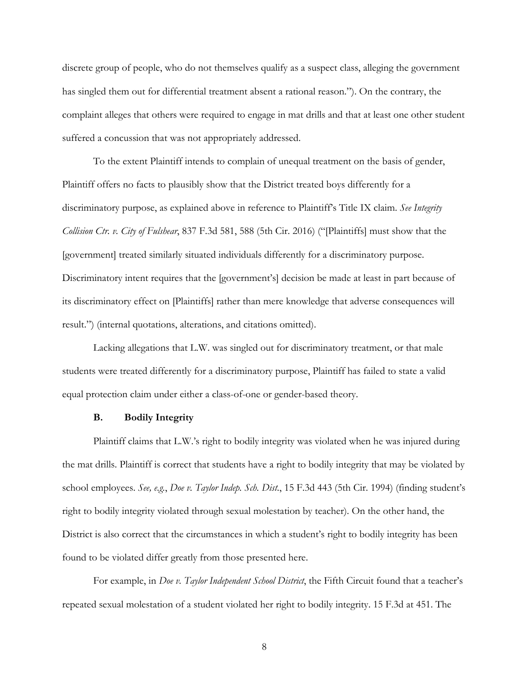discrete group of people, who do not themselves qualify as a suspect class, alleging the government has singled them out for differential treatment absent a rational reason."). On the contrary, the complaint alleges that others were required to engage in mat drills and that at least one other student suffered a concussion that was not appropriately addressed.

 To the extent Plaintiff intends to complain of unequal treatment on the basis of gender, Plaintiff offers no facts to plausibly show that the District treated boys differently for a discriminatory purpose, as explained above in reference to Plaintiff's Title IX claim. *See Integrity Collision Ctr. v. City of Fulshear*, 837 F.3d 581, 588 (5th Cir. 2016) ("[Plaintiffs] must show that the [government] treated similarly situated individuals differently for a discriminatory purpose. Discriminatory intent requires that the [government's] decision be made at least in part because of its discriminatory effect on [Plaintiffs] rather than mere knowledge that adverse consequences will result.") (internal quotations, alterations, and citations omitted).

Lacking allegations that L.W. was singled out for discriminatory treatment, or that male students were treated differently for a discriminatory purpose, Plaintiff has failed to state a valid equal protection claim under either a class-of-one or gender-based theory.

# **B. Bodily Integrity**

Plaintiff claims that L.W.'s right to bodily integrity was violated when he was injured during the mat drills. Plaintiff is correct that students have a right to bodily integrity that may be violated by school employees. *See, e.g.*, *Doe v. Taylor Indep. Sch. Dist.*, 15 F.3d 443 (5th Cir. 1994) (finding student's right to bodily integrity violated through sexual molestation by teacher). On the other hand, the District is also correct that the circumstances in which a student's right to bodily integrity has been found to be violated differ greatly from those presented here.

 For example, in *Doe v. Taylor Independent School District*, the Fifth Circuit found that a teacher's repeated sexual molestation of a student violated her right to bodily integrity. 15 F.3d at 451. The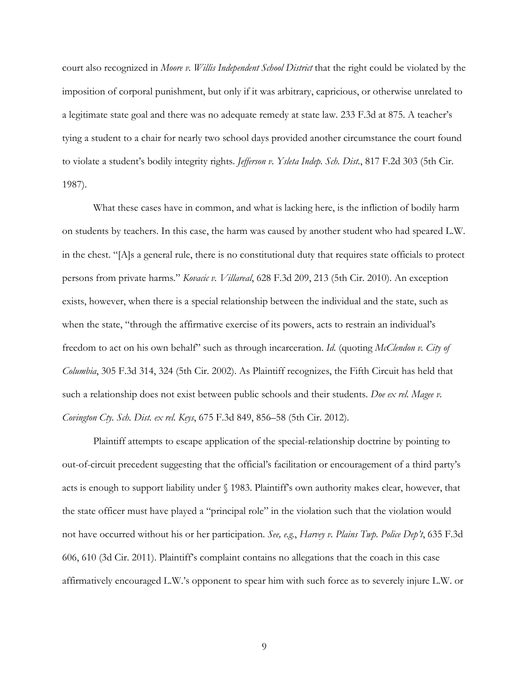court also recognized in *Moore v. Willis Independent School District* that the right could be violated by the imposition of corporal punishment, but only if it was arbitrary, capricious, or otherwise unrelated to a legitimate state goal and there was no adequate remedy at state law. 233 F.3d at 875. A teacher's tying a student to a chair for nearly two school days provided another circumstance the court found to violate a student's bodily integrity rights. *Jefferson v. Ysleta Indep. Sch. Dist.*, 817 F.2d 303 (5th Cir. 1987).

What these cases have in common, and what is lacking here, is the infliction of bodily harm on students by teachers. In this case, the harm was caused by another student who had speared L.W. in the chest. "[A]s a general rule, there is no constitutional duty that requires state officials to protect persons from private harms." *Kovacic v. Villareal*, 628 F.3d 209, 213 (5th Cir. 2010). An exception exists, however, when there is a special relationship between the individual and the state, such as when the state, "through the affirmative exercise of its powers, acts to restrain an individual's freedom to act on his own behalf" such as through incarceration. *Id.* (quoting *McClendon v. City of Columbia*, 305 F.3d 314, 324 (5th Cir. 2002). As Plaintiff recognizes, the Fifth Circuit has held that such a relationship does not exist between public schools and their students. *Doe ex rel. Magee v. Covington Cty. Sch. Dist. ex rel. Keys*, 675 F.3d 849, 856–58 (5th Cir. 2012).

Plaintiff attempts to escape application of the special-relationship doctrine by pointing to out-of-circuit precedent suggesting that the official's facilitation or encouragement of a third party's acts is enough to support liability under § 1983. Plaintiff's own authority makes clear, however, that the state officer must have played a "principal role" in the violation such that the violation would not have occurred without his or her participation. *See, e.g.*, *Harvey v. Plains Twp. Police Dep't*, 635 F.3d 606, 610 (3d Cir. 2011). Plaintiff's complaint contains no allegations that the coach in this case affirmatively encouraged L.W.'s opponent to spear him with such force as to severely injure L.W. or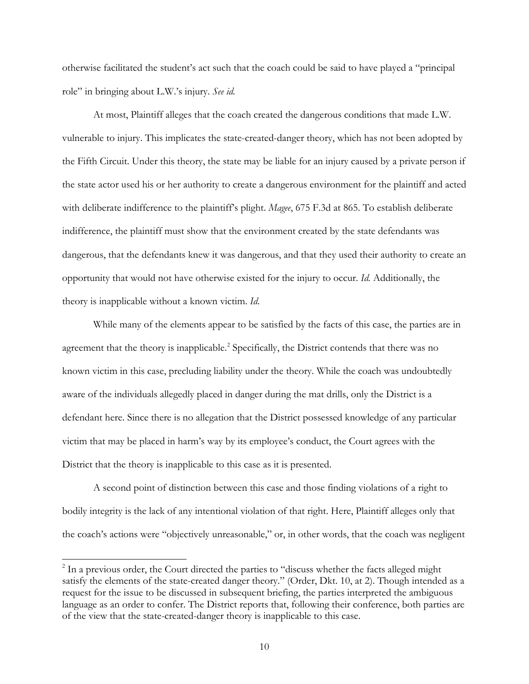otherwise facilitated the student's act such that the coach could be said to have played a "principal role" in bringing about L.W.'s injury. *See id.*

At most, Plaintiff alleges that the coach created the dangerous conditions that made L.W. vulnerable to injury. This implicates the state-created-danger theory, which has not been adopted by the Fifth Circuit. Under this theory, the state may be liable for an injury caused by a private person if the state actor used his or her authority to create a dangerous environment for the plaintiff and acted with deliberate indifference to the plaintiff's plight. *Magee*, 675 F.3d at 865. To establish deliberate indifference, the plaintiff must show that the environment created by the state defendants was dangerous, that the defendants knew it was dangerous, and that they used their authority to create an opportunity that would not have otherwise existed for the injury to occur. *Id.* Additionally, the theory is inapplicable without a known victim. *Id.* 

While many of the elements appear to be satisfied by the facts of this case, the parties are in agreement that the theory is inapplicable.<sup>[2](#page-9-0)</sup> Specifically, the District contends that there was no known victim in this case, precluding liability under the theory. While the coach was undoubtedly aware of the individuals allegedly placed in danger during the mat drills, only the District is a defendant here. Since there is no allegation that the District possessed knowledge of any particular victim that may be placed in harm's way by its employee's conduct, the Court agrees with the District that the theory is inapplicable to this case as it is presented.

 A second point of distinction between this case and those finding violations of a right to bodily integrity is the lack of any intentional violation of that right. Here, Plaintiff alleges only that the coach's actions were "objectively unreasonable," or, in other words, that the coach was negligent

<span id="page-9-0"></span><sup>&</sup>lt;sup>2</sup> In a previous order, the Court directed the parties to "discuss whether the facts alleged might satisfy the elements of the state-created danger theory." (Order, Dkt. 10, at 2). Though intended as a request for the issue to be discussed in subsequent briefing, the parties interpreted the ambiguous language as an order to confer. The District reports that, following their conference, both parties are of the view that the state-created-danger theory is inapplicable to this case.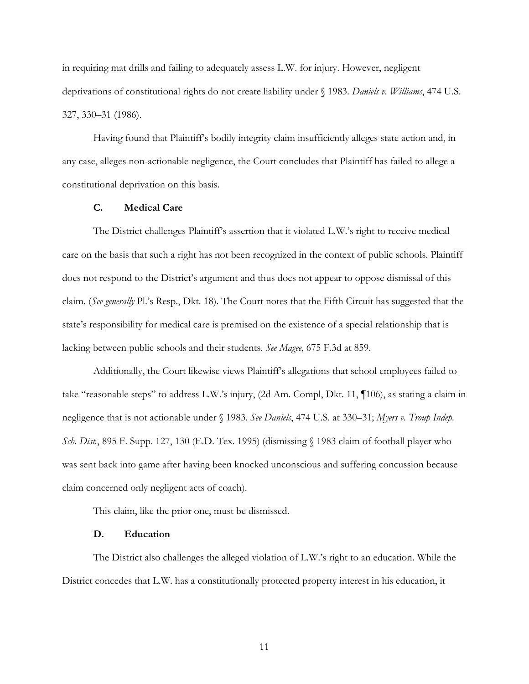in requiring mat drills and failing to adequately assess L.W. for injury. However, negligent deprivations of constitutional rights do not create liability under § 1983. *Daniels v. Williams*, 474 U.S. 327, 330–31 (1986).

Having found that Plaintiff's bodily integrity claim insufficiently alleges state action and, in any case, alleges non-actionable negligence, the Court concludes that Plaintiff has failed to allege a constitutional deprivation on this basis.

### **C. Medical Care**

The District challenges Plaintiff's assertion that it violated L.W.'s right to receive medical care on the basis that such a right has not been recognized in the context of public schools. Plaintiff does not respond to the District's argument and thus does not appear to oppose dismissal of this claim. (*See generally* Pl.'s Resp., Dkt. 18). The Court notes that the Fifth Circuit has suggested that the state's responsibility for medical care is premised on the existence of a special relationship that is lacking between public schools and their students. *See Magee*, 675 F.3d at 859.

Additionally, the Court likewise views Plaintiff's allegations that school employees failed to take "reasonable steps" to address L.W.'s injury, (2d Am. Compl, Dkt. 11, ¶106), as stating a claim in negligence that is not actionable under § 1983. *See Daniels*, 474 U.S. at 330–31; *Myers v. Troup Indep. Sch. Dist.*, 895 F. Supp. 127, 130 (E.D. Tex. 1995) (dismissing § 1983 claim of football player who was sent back into game after having been knocked unconscious and suffering concussion because claim concerned only negligent acts of coach).

This claim, like the prior one, must be dismissed.

# **D. Education**

The District also challenges the alleged violation of L.W.'s right to an education. While the District concedes that L.W. has a constitutionally protected property interest in his education, it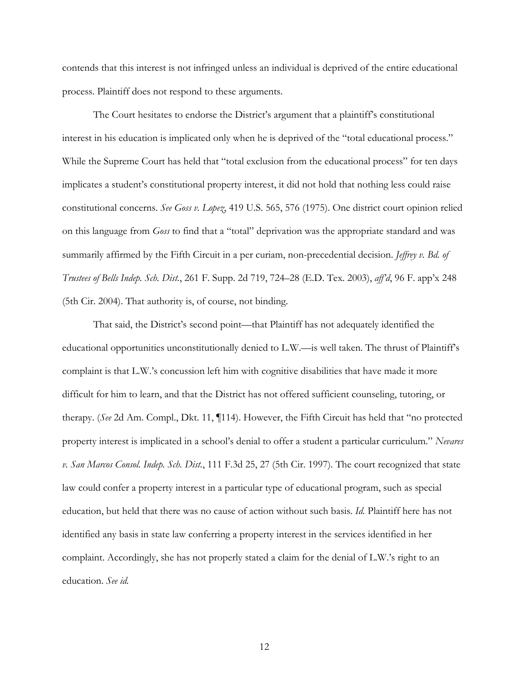contends that this interest is not infringed unless an individual is deprived of the entire educational process. Plaintiff does not respond to these arguments.

The Court hesitates to endorse the District's argument that a plaintiff's constitutional interest in his education is implicated only when he is deprived of the "total educational process." While the Supreme Court has held that "total exclusion from the educational process" for ten days implicates a student's constitutional property interest, it did not hold that nothing less could raise constitutional concerns. *See Goss v. Lopez*, 419 U.S. 565, 576 (1975). One district court opinion relied on this language from *Goss* to find that a "total" deprivation was the appropriate standard and was summarily affirmed by the Fifth Circuit in a per curiam, non-precedential decision. *Jeffrey v. Bd. of Trustees of Bells Indep. Sch. Dist.*, 261 F. Supp. 2d 719, 724–28 (E.D. Tex. 2003), *aff'd*, 96 F. app'x 248 (5th Cir. 2004). That authority is, of course, not binding.

 That said, the District's second point—that Plaintiff has not adequately identified the educational opportunities unconstitutionally denied to L.W.—is well taken. The thrust of Plaintiff's complaint is that L.W.'s concussion left him with cognitive disabilities that have made it more difficult for him to learn, and that the District has not offered sufficient counseling, tutoring, or therapy. (*See* 2d Am. Compl., Dkt. 11, ¶114). However, the Fifth Circuit has held that "no protected property interest is implicated in a school's denial to offer a student a particular curriculum." *Nevares v. San Marcos Consol. Indep. Sch. Dist.*, 111 F.3d 25, 27 (5th Cir. 1997). The court recognized that state law could confer a property interest in a particular type of educational program, such as special education, but held that there was no cause of action without such basis. *Id.* Plaintiff here has not identified any basis in state law conferring a property interest in the services identified in her complaint. Accordingly, she has not properly stated a claim for the denial of L.W.'s right to an education. *See id.*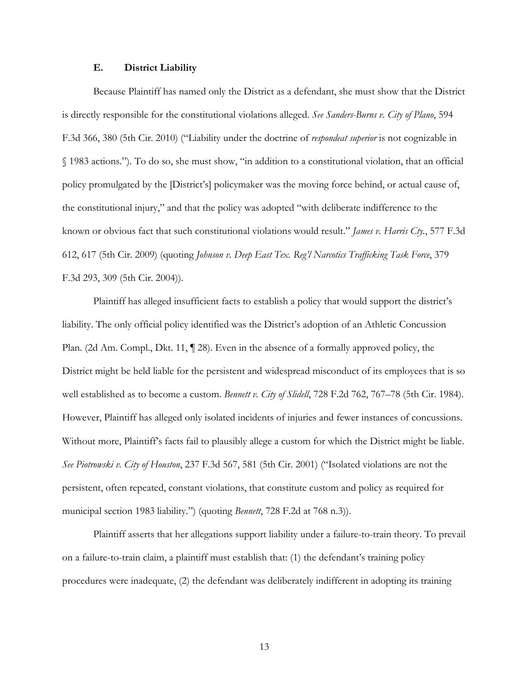### **E. District Liability**

Because Plaintiff has named only the District as a defendant, she must show that the District is directly responsible for the constitutional violations alleged. *See Sanders-Burns v. City of Plano*, 594 F.3d 366, 380 (5th Cir. 2010) ("Liability under the doctrine of *respondeat superior* is not cognizable in § 1983 actions."). To do so, she must show, "in addition to a constitutional violation, that an official policy promulgated by the [District's] policymaker was the moving force behind, or actual cause of, the constitutional injury," and that the policy was adopted "with deliberate indifference to the known or obvious fact that such constitutional violations would result." *James v. Harris Cty.*, 577 F.3d 612, 617 (5th Cir. 2009) (quoting *Johnson v. Deep East Tex. Reg'l Narcotics Trafficking Task Force*, 379 F.3d 293, 309 (5th Cir. 2004)).

 Plaintiff has alleged insufficient facts to establish a policy that would support the district's liability. The only official policy identified was the District's adoption of an Athletic Concussion Plan. (2d Am. Compl., Dkt. 11, ¶ 28). Even in the absence of a formally approved policy, the District might be held liable for the persistent and widespread misconduct of its employees that is so well established as to become a custom. *Bennett v. City of Slidell*, 728 F.2d 762, 767–78 (5th Cir. 1984). However, Plaintiff has alleged only isolated incidents of injuries and fewer instances of concussions. Without more, Plaintiff's facts fail to plausibly allege a custom for which the District might be liable. *See Piotrowski v. City of Houston*, 237 F.3d 567, 581 (5th Cir. 2001) ("Isolated violations are not the persistent, often repeated, constant violations, that constitute custom and policy as required for municipal section 1983 liability.") (quoting *Bennett*, 728 F.2d at 768 n.3)).

 Plaintiff asserts that her allegations support liability under a failure-to-train theory. To prevail on a failure-to-train claim, a plaintiff must establish that: (1) the defendant's training policy procedures were inadequate, (2) the defendant was deliberately indifferent in adopting its training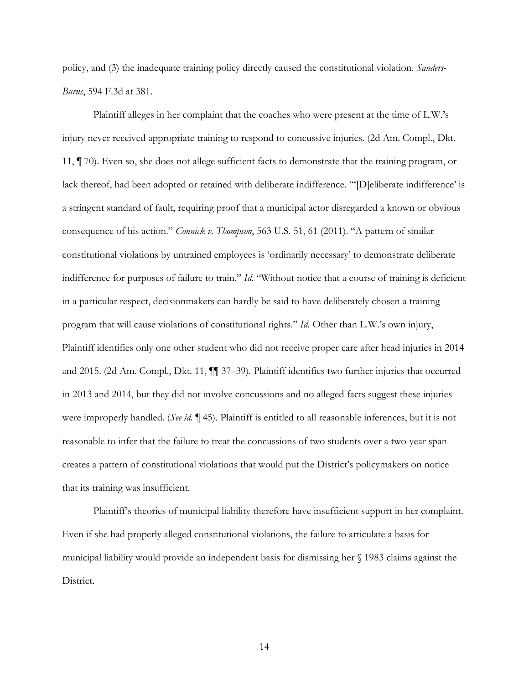policy, and (3) the inadequate training policy directly caused the constitutional violation. *Sanders-Burns*, 594 F.3d at 381.

Plaintiff alleges in her complaint that the coaches who were present at the time of L.W.'s injury never received appropriate training to respond to concussive injuries. (2d Am. Compl., Dkt. 11, ¶ 70). Even so, she does not allege sufficient facts to demonstrate that the training program, or lack thereof, had been adopted or retained with deliberate indifference. "'[D]eliberate indifference' is a stringent standard of fault, requiring proof that a municipal actor disregarded a known or obvious consequence of his action." *Connick v. Thompson*, 563 U.S. 51, 61 (2011). "A pattern of similar constitutional violations by untrained employees is 'ordinarily necessary' to demonstrate deliberate indifference for purposes of failure to train." *Id.* "Without notice that a course of training is deficient in a particular respect, decisionmakers can hardly be said to have deliberately chosen a training program that will cause violations of constitutional rights." *Id.* Other than L.W.'s own injury, Plaintiff identifies only one other student who did not receive proper care after head injuries in 2014 and 2015. (2d Am. Compl., Dkt. 11, ¶¶ 37–39). Plaintiff identifies two further injuries that occurred in 2013 and 2014, but they did not involve concussions and no alleged facts suggest these injuries were improperly handled. (*See id.* ¶ 45). Plaintiff is entitled to all reasonable inferences, but it is not reasonable to infer that the failure to treat the concussions of two students over a two-year span creates a pattern of constitutional violations that would put the District's policymakers on notice that its training was insufficient.

Plaintiff's theories of municipal liability therefore have insufficient support in her complaint. Even if she had properly alleged constitutional violations, the failure to articulate a basis for municipal liability would provide an independent basis for dismissing her § 1983 claims against the District.